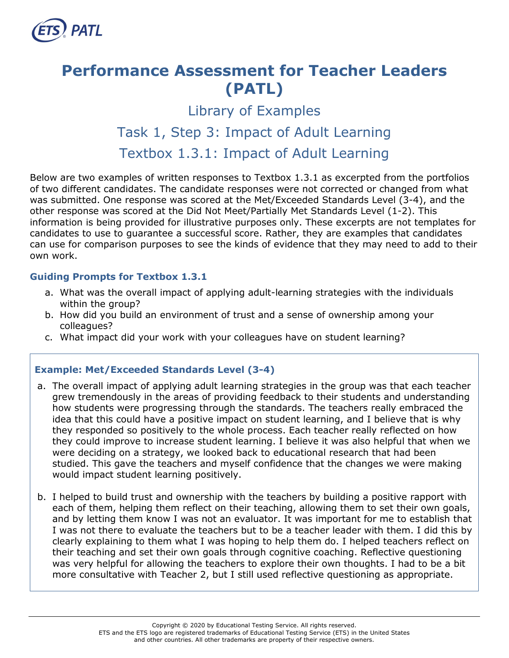

# **Performance Assessment for Teacher Leaders (PATL)**

## Library of Examples Task 1, Step 3: Impact of Adult Learning Textbox 1.3.1: Impact of Adult Learning

Below are two examples of written responses to Textbox 1.3.1 as excerpted from the portfolios of two different candidates. The candidate responses were not corrected or changed from what was submitted. One response was scored at the Met/Exceeded Standards Level (3-4), and the other response was scored at the Did Not Meet/Partially Met Standards Level (1-2). This information is being provided for illustrative purposes only. These excerpts are not templates for candidates to use to guarantee a successful score. Rather, they are examples that candidates can use for comparison purposes to see the kinds of evidence that they may need to add to their own work.

### **Guiding Prompts for Textbox 1.3.1**

- a. What was the overall impact of applying adult-learning strategies with the individuals within the group?
- b. How did you build an environment of trust and a sense of ownership among your colleagues?
- c. What impact did your work with your colleagues have on student learning?

## **Example: Met/Exceeded Standards Level (3-4)**

- a. The overall impact of applying adult learning strategies in the group was that each teacher grew tremendously in the areas of providing feedback to their students and understanding how students were progressing through the standards. The teachers really embraced the idea that this could have a positive impact on student learning, and I believe that is why they responded so positively to the whole process. Each teacher really reflected on how they could improve to increase student learning. I believe it was also helpful that when we were deciding on a strategy, we looked back to educational research that had been studied. This gave the teachers and myself confidence that the changes we were making would impact student learning positively.
- b. I helped to build trust and ownership with the teachers by building a positive rapport with each of them, helping them reflect on their teaching, allowing them to set their own goals, and by letting them know I was not an evaluator. It was important for me to establish that I was not there to evaluate the teachers but to be a teacher leader with them. I did this by clearly explaining to them what I was hoping to help them do. I helped teachers reflect on their teaching and set their own goals through cognitive coaching. Reflective questioning was very helpful for allowing the teachers to explore their own thoughts. I had to be a bit more consultative with Teacher 2, but I still used reflective questioning as appropriate.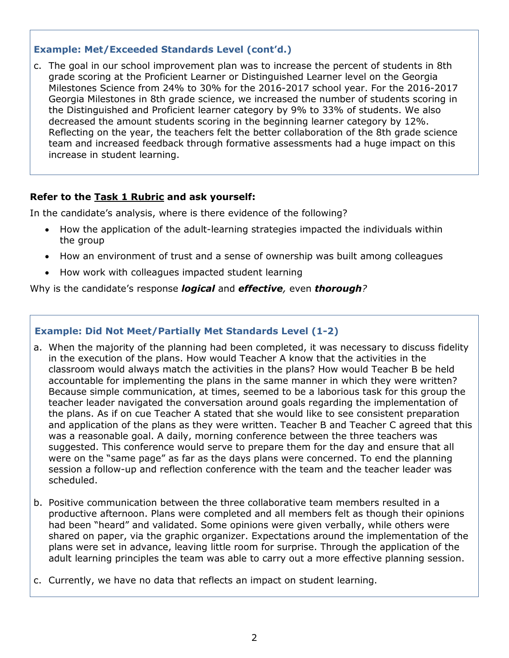## **Example: Met/Exceeded Standards Level (cont'd.)**

c. The goal in our school improvement plan was to increase the percent of students in 8th grade scoring at the Proficient Learner or Distinguished Learner level on the Georgia Milestones Science from 24% to 30% for the 2016-2017 school year. For the 2016-2017 Georgia Milestones in 8th grade science, we increased the number of students scoring in the Distinguished and Proficient learner category by 9% to 33% of students. We also decreased the amount students scoring in the beginning learner category by 12%. Reflecting on the year, the teachers felt the better collaboration of the 8th grade science team and increased feedback through formative assessments had a huge impact on this increase in student learning.

### **Refer to the [Task 1 Rubric](http://gace.ets.org/s/pdf/gace_teacher_leadership_assessment_task_1_rubric.pdf) and ask yourself:**

In the candidate's analysis, where is there evidence of the following?

- How the application of the adult-learning strategies impacted the individuals within the group
- How an environment of trust and a sense of ownership was built among colleagues
- How work with colleagues impacted student learning

Why is the candidate's response *logical* and *effective,* even *thorough?*

#### **Example: Did Not Meet/Partially Met Standards Level (1-2)**

- a. When the majority of the planning had been completed, it was necessary to discuss fidelity in the execution of the plans. How would Teacher A know that the activities in the classroom would always match the activities in the plans? How would Teacher B be held accountable for implementing the plans in the same manner in which they were written? Because simple communication, at times, seemed to be a laborious task for this group the teacher leader navigated the conversation around goals regarding the implementation of the plans. As if on cue Teacher A stated that she would like to see consistent preparation and application of the plans as they were written. Teacher B and Teacher C agreed that this was a reasonable goal. A daily, morning conference between the three teachers was suggested. This conference would serve to prepare them for the day and ensure that all were on the "same page" as far as the days plans were concerned. To end the planning session a follow-up and reflection conference with the team and the teacher leader was scheduled.
- b. Positive communication between the three collaborative team members resulted in a productive afternoon. Plans were completed and all members felt as though their opinions had been "heard" and validated. Some opinions were given verbally, while others were shared on paper, via the graphic organizer. Expectations around the implementation of the plans were set in advance, leaving little room for surprise. Through the application of the adult learning principles the team was able to carry out a more effective planning session.
- c. Currently, we have no data that reflects an impact on student learning.